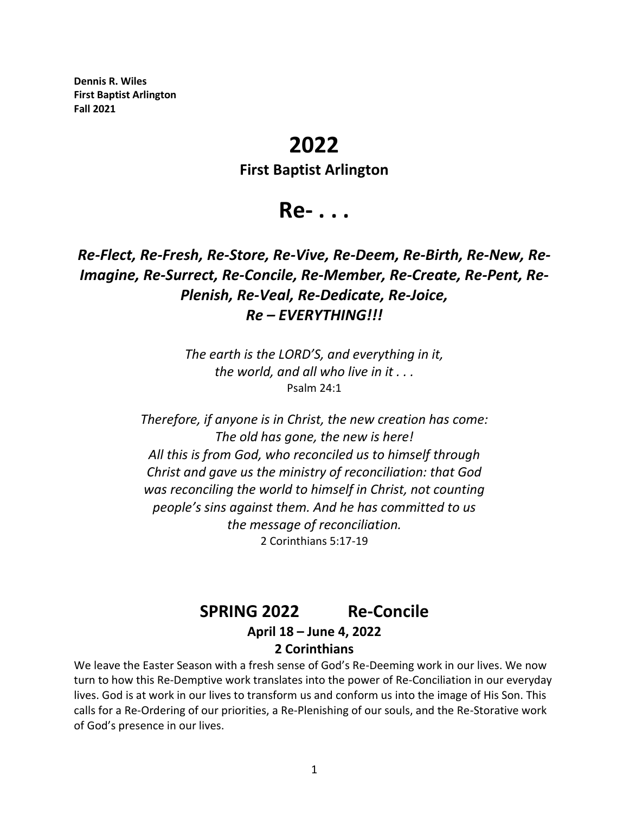**Dennis R. Wiles First Baptist Arlington Fall 2021**

# **2022**

### **First Baptist Arlington**

**Re- . . .**

## *Re-Flect, Re-Fresh, Re-Store, Re-Vive, Re-Deem, Re-Birth, Re-New, Re-Imagine, Re-Surrect, Re-Concile, Re-Member, Re-Create, Re-Pent, Re-Plenish, Re-Veal, Re-Dedicate, Re-Joice, Re – EVERYTHING!!!*

*The earth is the LORD'S, and everything in it, the world, and all who live in it . . .* Psalm 24:1

*Therefore, if anyone is in Christ, the new creation has come: The old has gone, the new is here! All this is from God, who reconciled us to himself through Christ and gave us the ministry of reconciliation: that God was reconciling the world to himself in Christ, not counting people's sins against them. And he has committed to us the message of reconciliation.* 2 Corinthians 5:17-19

## **SPRING 2022 Re-Concile April 18 – June 4, 2022**

## **2 Corinthians**

We leave the Easter Season with a fresh sense of God's Re-Deeming work in our lives. We now turn to how this Re-Demptive work translates into the power of Re-Conciliation in our everyday lives. God is at work in our lives to transform us and conform us into the image of His Son. This calls for a Re-Ordering of our priorities, a Re-Plenishing of our souls, and the Re-Storative work of God's presence in our lives.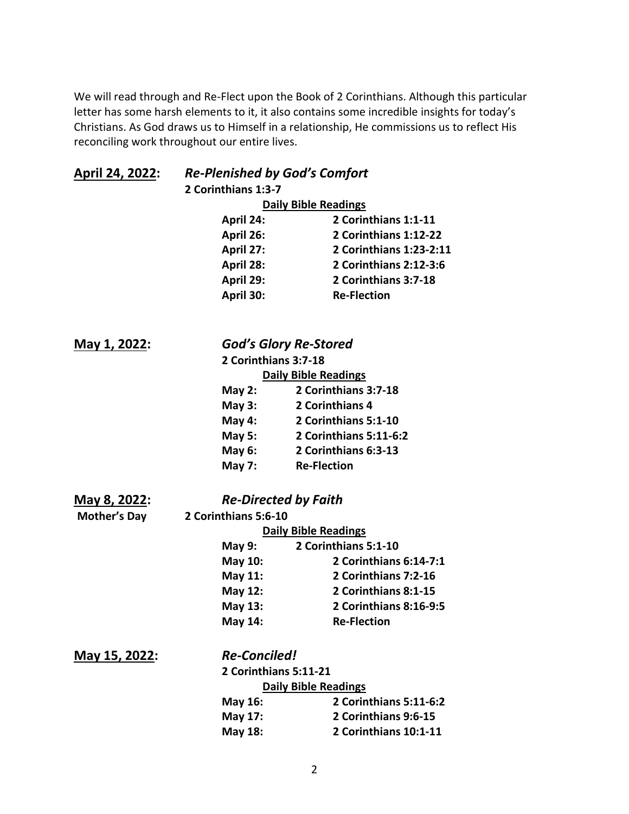We will read through and Re-Flect upon the Book of 2 Corinthians. Although this particular letter has some harsh elements to it, it also contains some incredible insights for today's Christians. As God draws us to Himself in a relationship, He commissions us to reflect His reconciling work throughout our entire lives.

| April 24, 2022:      | <b>Re-Plenished by God's Comfort</b> |                              |  |
|----------------------|--------------------------------------|------------------------------|--|
|                      | 2 Corinthians 1:3-7                  |                              |  |
|                      | <b>Daily Bible Readings</b>          |                              |  |
|                      | April 24:                            | 2 Corinthians 1:1-11         |  |
|                      | April 26:                            | 2 Corinthians 1:12-22        |  |
|                      | April 27:                            | 2 Corinthians 1:23-2:11      |  |
|                      | April 28:                            | 2 Corinthians 2:12-3:6       |  |
|                      | April 29:                            | 2 Corinthians 3:7-18         |  |
|                      | April 30:                            | <b>Re-Flection</b>           |  |
| <u>May 1, 2022:</u>  |                                      | <b>God's Glory Re-Stored</b> |  |
|                      | 2 Corinthians 3:7-18                 |                              |  |
|                      | <b>Daily Bible Readings</b>          |                              |  |
|                      | May $2:$                             | 2 Corinthians 3:7-18         |  |
|                      | May $3:$                             | 2 Corinthians 4              |  |
|                      | <b>May 4:</b>                        | 2 Corinthians 5:1-10         |  |
|                      | <b>May 5:</b>                        | 2 Corinthians 5:11-6:2       |  |
|                      | <b>May 6:</b>                        | 2 Corinthians 6:3-13         |  |
|                      | <b>May 7:</b>                        | <b>Re-Flection</b>           |  |
| <u>May 8, 2022</u> : |                                      | <b>Re-Directed by Faith</b>  |  |
| <b>Mother's Day</b>  | 2 Corinthians 5:6-10                 |                              |  |
|                      | <b>Daily Bible Readings</b>          |                              |  |
|                      | <b>May 9:</b>                        | 2 Corinthians 5:1-10         |  |
|                      | <b>May 10:</b>                       | 2 Corinthians 6:14-7:1       |  |
|                      | May 11:                              | 2 Corinthians 7:2-16         |  |
|                      | <b>May 12:</b>                       | 2 Corinthians 8:1-15         |  |
|                      | May 13:                              | 2 Corinthians 8:16-9:5       |  |
|                      | May 14:                              | <b>Re-Flection</b>           |  |
| May 15, 2022:        | <b>Re-Conciled!</b>                  |                              |  |
|                      | 2 Corinthians 5:11-21                |                              |  |
|                      | <b>Daily Bible Readings</b>          |                              |  |
|                      | May 16:                              | 2 Corinthians 5:11-6:2       |  |
|                      | May 17:                              | 2 Corinthians 9:6-15         |  |
|                      | May 18:                              | 2 Corinthians 10:1-11        |  |